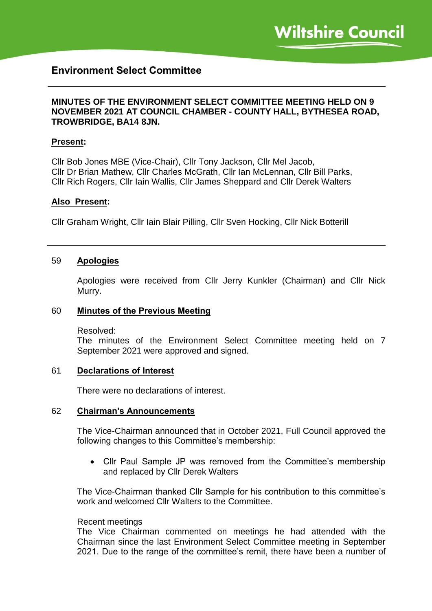# **Environment Select Committee**

# **MINUTES OF THE ENVIRONMENT SELECT COMMITTEE MEETING HELD ON 9 NOVEMBER 2021 AT COUNCIL CHAMBER - COUNTY HALL, BYTHESEA ROAD, TROWBRIDGE, BA14 8JN.**

### **Present:**

Cllr Bob Jones MBE (Vice-Chair), Cllr Tony Jackson, Cllr Mel Jacob, Cllr Dr Brian Mathew, Cllr Charles McGrath, Cllr Ian McLennan, Cllr Bill Parks, Cllr Rich Rogers, Cllr Iain Wallis, Cllr James Sheppard and Cllr Derek Walters

### **Also Present:**

Cllr Graham Wright, Cllr Iain Blair Pilling, Cllr Sven Hocking, Cllr Nick Botterill

### 59 **Apologies**

Apologies were received from Cllr Jerry Kunkler (Chairman) and Cllr Nick Murry.

### 60 **Minutes of the Previous Meeting**

Resolved:

The minutes of the Environment Select Committee meeting held on 7 September 2021 were approved and signed.

### 61 **Declarations of Interest**

There were no declarations of interest.

### 62 **Chairman's Announcements**

The Vice-Chairman announced that in October 2021, Full Council approved the following changes to this Committee's membership:

 Cllr Paul Sample JP was removed from the Committee's membership and replaced by Cllr Derek Walters

The Vice-Chairman thanked Cllr Sample for his contribution to this committee's work and welcomed Cllr Walters to the Committee.

### Recent meetings

The Vice Chairman commented on meetings he had attended with the Chairman since the last Environment Select Committee meeting in September 2021. Due to the range of the committee's remit, there have been a number of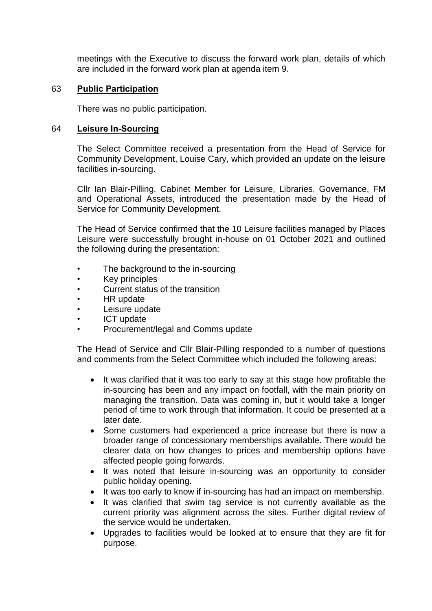meetings with the Executive to discuss the forward work plan, details of which are included in the forward work plan at agenda item 9.

### 63 **Public Participation**

There was no public participation.

### 64 **Leisure In-Sourcing**

The Select Committee received a presentation from the Head of Service for Community Development, Louise Cary, which provided an update on the leisure facilities in-sourcing.

Cllr Ian Blair-Pilling, Cabinet Member for Leisure, Libraries, Governance, FM and Operational Assets, introduced the presentation made by the Head of Service for Community Development.

The Head of Service confirmed that the 10 Leisure facilities managed by Places Leisure were successfully brought in-house on 01 October 2021 and outlined the following during the presentation:

- The background to the in-sourcing
- Key principles
- Current status of the transition
- HR update
- Leisure update
- ICT update
- Procurement/legal and Comms update

The Head of Service and Cllr Blair-Pilling responded to a number of questions and comments from the Select Committee which included the following areas:

- It was clarified that it was too early to say at this stage how profitable the in-sourcing has been and any impact on footfall, with the main priority on managing the transition. Data was coming in, but it would take a longer period of time to work through that information. It could be presented at a later date.
- Some customers had experienced a price increase but there is now a broader range of concessionary memberships available. There would be clearer data on how changes to prices and membership options have affected people going forwards.
- It was noted that leisure in-sourcing was an opportunity to consider public holiday opening.
- It was too early to know if in-sourcing has had an impact on membership.
- It was clarified that swim tag service is not currently available as the current priority was alignment across the sites. Further digital review of the service would be undertaken.
- Upgrades to facilities would be looked at to ensure that they are fit for purpose.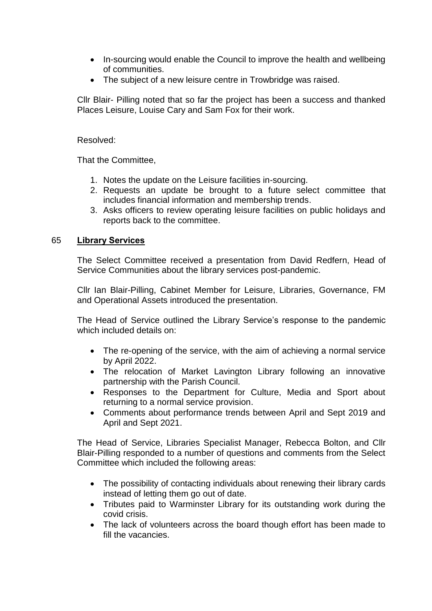- In-sourcing would enable the Council to improve the health and wellbeing of communities.
- The subject of a new leisure centre in Trowbridge was raised.

Cllr Blair- Pilling noted that so far the project has been a success and thanked Places Leisure, Louise Cary and Sam Fox for their work.

# Resolved:

That the Committee,

- 1. Notes the update on the Leisure facilities in-sourcing.
- 2. Requests an update be brought to a future select committee that includes financial information and membership trends.
- 3. Asks officers to review operating leisure facilities on public holidays and reports back to the committee.

# 65 **Library Services**

The Select Committee received a presentation from David Redfern, Head of Service Communities about the library services post-pandemic.

Cllr Ian Blair-Pilling, Cabinet Member for Leisure, Libraries, Governance, FM and Operational Assets introduced the presentation.

The Head of Service outlined the Library Service's response to the pandemic which included details on:

- The re-opening of the service, with the aim of achieving a normal service by April 2022.
- The relocation of Market Lavington Library following an innovative partnership with the Parish Council.
- Responses to the Department for Culture, Media and Sport about returning to a normal service provision.
- Comments about performance trends between April and Sept 2019 and April and Sept 2021.

The Head of Service, Libraries Specialist Manager, Rebecca Bolton, and Cllr Blair-Pilling responded to a number of questions and comments from the Select Committee which included the following areas:

- The possibility of contacting individuals about renewing their library cards instead of letting them go out of date.
- Tributes paid to Warminster Library for its outstanding work during the covid crisis.
- The lack of volunteers across the board though effort has been made to fill the vacancies.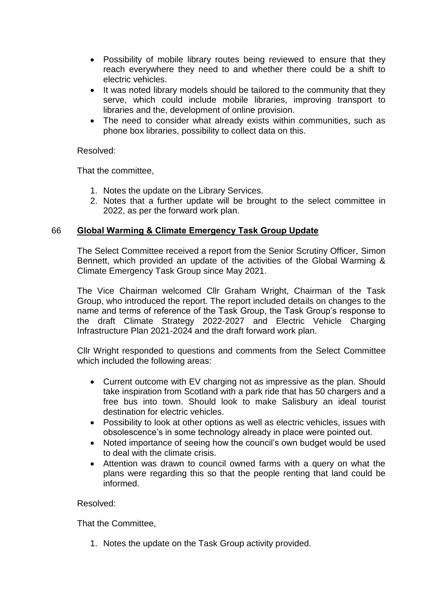- Possibility of mobile library routes being reviewed to ensure that they reach everywhere they need to and whether there could be a shift to electric vehicles.
- It was noted library models should be tailored to the community that they serve, which could include mobile libraries, improving transport to libraries and the, development of online provision.
- The need to consider what already exists within communities, such as phone box libraries, possibility to collect data on this.

### Resolved:

That the committee,

- 1. Notes the update on the Library Services.
- 2. Notes that a further update will be brought to the select committee in 2022, as per the forward work plan.

# 66 **Global Warming & Climate Emergency Task Group Update**

The Select Committee received a report from the Senior Scrutiny Officer, Simon Bennett, which provided an update of the activities of the Global Warming & Climate Emergency Task Group since May 2021.

The Vice Chairman welcomed Cllr Graham Wright, Chairman of the Task Group, who introduced the report. The report included details on changes to the name and terms of reference of the Task Group, the Task Group's response to the draft Climate Strategy 2022-2027 and Electric Vehicle Charging Infrastructure Plan 2021-2024 and the draft forward work plan.

Cllr Wright responded to questions and comments from the Select Committee which included the following areas:

- Current outcome with EV charging not as impressive as the plan. Should take inspiration from Scotland with a park ride that has 50 chargers and a free bus into town. Should look to make Salisbury an ideal tourist destination for electric vehicles.
- Possibility to look at other options as well as electric vehicles, issues with obsolescence's in some technology already in place were pointed out.
- Noted importance of seeing how the council's own budget would be used to deal with the climate crisis.
- Attention was drawn to council owned farms with a query on what the plans were regarding this so that the people renting that land could be informed.

# Resolved:

That the Committee,

1. Notes the update on the Task Group activity provided.